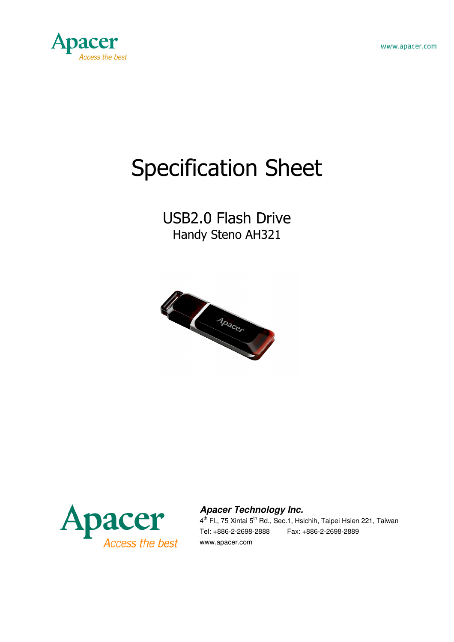



# Specification Sheet

# USB2.0 Flash Drive Handy Steno AH321





#### **Apacer Technology Inc.**

4<sup>th</sup> Fl., 75 Xintai 5<sup>th</sup> Rd., Sec.1, Hsichih, Taipei Hsien 221, Taiwan Tel: +886-2-2698-2888 Fax: +886-2-2698-2889 www.apacer.com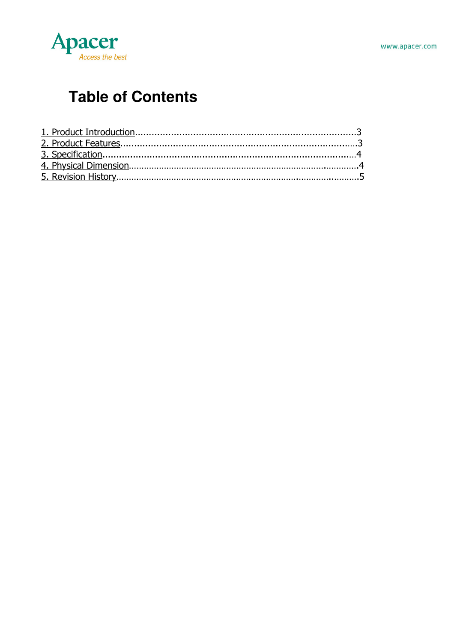

# **Table of Contents**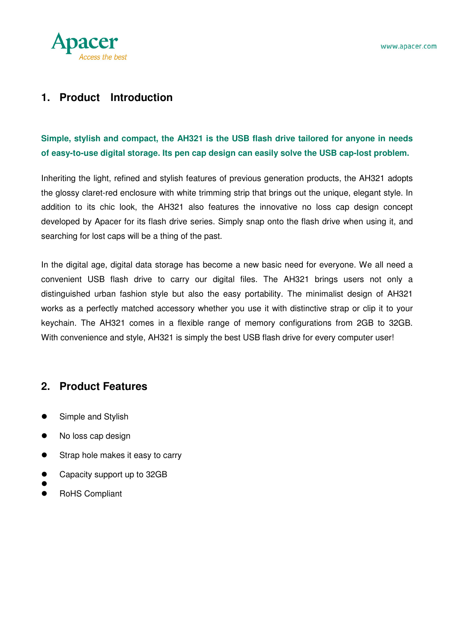

#### **1. Product Introduction**

#### **Simple, stylish and compact, the AH321 is the USB flash drive tailored for anyone in needs of easy-to-use digital storage. Its pen cap design can easily solve the USB cap-lost problem.**

Inheriting the light, refined and stylish features of previous generation products, the AH321 adopts the glossy claret-red enclosure with white trimming strip that brings out the unique, elegant style. In addition to its chic look, the AH321 also features the innovative no loss cap design concept developed by Apacer for its flash drive series. Simply snap onto the flash drive when using it, and searching for lost caps will be a thing of the past.

In the digital age, digital data storage has become a new basic need for everyone. We all need a convenient USB flash drive to carry our digital files. The AH321 brings users not only a distinguished urban fashion style but also the easy portability. The minimalist design of AH321 works as a perfectly matched accessory whether you use it with distinctive strap or clip it to your keychain. The AH321 comes in a flexible range of memory configurations from 2GB to 32GB. With convenience and style, AH321 is simply the best USB flash drive for every computer user!

#### **2. Product Features**

- Simple and Stylish
- No loss cap design
- Strap hole makes it easy to carry
- Capacity support up to 32GB
- $\bullet$
- RoHS Compliant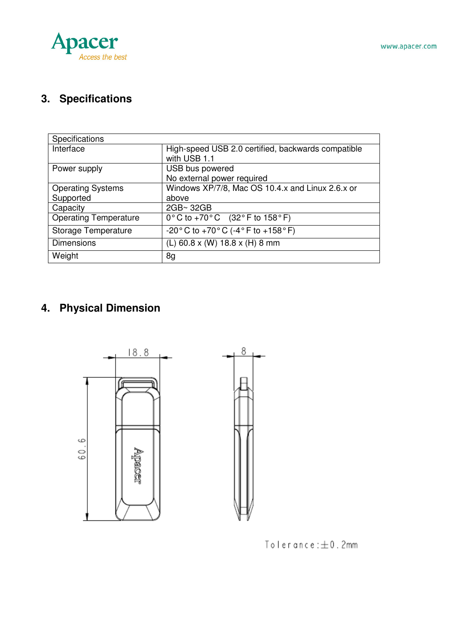



# **3. Specifications**

| Specifications               |                                                                         |
|------------------------------|-------------------------------------------------------------------------|
| Interface                    | High-speed USB 2.0 certified, backwards compatible                      |
|                              | with USB 1.1                                                            |
| Power supply                 | USB bus powered                                                         |
|                              | No external power required                                              |
| <b>Operating Systems</b>     | Windows XP/7/8, Mac OS 10.4.x and Linux 2.6.x or                        |
| Supported                    | above                                                                   |
| Capacity                     | 2GB~32GB                                                                |
| <b>Operating Temperature</b> | $0^{\circ}$ C to +70 $^{\circ}$ C (32 $^{\circ}$ F to 158 $^{\circ}$ F) |
| Storage Temperature          | $-20\degree$ C to $+70\degree$ C ( $-4\degree$ F to $+158\degree$ F)    |
| <b>Dimensions</b>            | (L) 60.8 x (W) 18.8 x (H) 8 mm                                          |
| Weight                       | 8g                                                                      |

# **4. Physical Dimension**



 $T$ olerance: $\pm$ 0.2mm